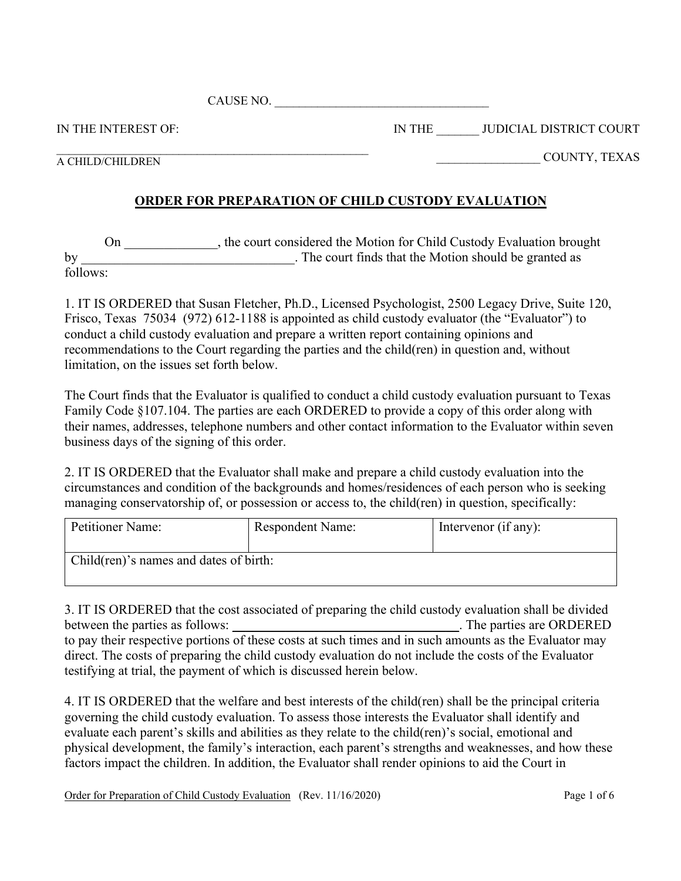CAUSE NO. \_\_\_\_\_\_\_\_\_\_\_\_\_\_\_\_\_\_\_\_\_\_\_\_\_\_\_\_\_\_\_\_\_\_\_

IN THE INTEREST OF:

IN THE \_\_\_\_\_\_\_ JUDICIAL DISTRICT COURT

 $\mathcal{L}_\text{max}$  and the contract of the contract of the contract of the contract of the contract of the contract of the contract of the contract of the contract of the contract of the contract of the contract of the contrac A CHILD/CHILDREN

\_\_\_\_\_\_\_\_\_\_\_\_\_\_\_\_\_ COUNTY, TEXAS

## **ORDER FOR PREPARATION OF CHILD CUSTODY EVALUATION**

On the court considered the Motion for Child Custody Evaluation brought by \_\_\_\_\_\_\_\_\_\_\_\_\_\_\_\_\_\_\_\_\_\_\_\_\_\_\_\_\_\_\_. The court finds that the Motion should be granted as follows:

1. IT IS ORDERED that Susan Fletcher, Ph.D., Licensed Psychologist, 2500 Legacy Drive, Suite 120, Frisco, Texas 75034 (972) 612-1188 is appointed as child custody evaluator (the "Evaluator") to conduct a child custody evaluation and prepare a written report containing opinions and recommendations to the Court regarding the parties and the child(ren) in question and, without limitation, on the issues set forth below.

The Court finds that the Evaluator is qualified to conduct a child custody evaluation pursuant to Texas Family Code §107.104. The parties are each ORDERED to provide a copy of this order along with their names, addresses, telephone numbers and other contact information to the Evaluator within seven business days of the signing of this order.

2. IT IS ORDERED that the Evaluator shall make and prepare a child custody evaluation into the circumstances and condition of the backgrounds and homes/residences of each person who is seeking managing conservatorship of, or possession or access to, the child(ren) in question, specifically:

| Petitioner Name:                       | <b>Respondent Name:</b> | Intervenor (if any): |  |
|----------------------------------------|-------------------------|----------------------|--|
|                                        |                         |                      |  |
| Child(ren)'s names and dates of birth: |                         |                      |  |
|                                        |                         |                      |  |

3. IT IS ORDERED that the cost associated of preparing the child custody evaluation shall be divided between the parties as follows:  $\blacksquare$ to pay their respective portions of these costs at such times and in such amounts as the Evaluator may direct. The costs of preparing the child custody evaluation do not include the costs of the Evaluator testifying at trial, the payment of which is discussed herein below.

4. IT IS ORDERED that the welfare and best interests of the child(ren) shall be the principal criteria governing the child custody evaluation. To assess those interests the Evaluator shall identify and evaluate each parent's skills and abilities as they relate to the child(ren)'s social, emotional and physical development, the family's interaction, each parent's strengths and weaknesses, and how these factors impact the children. In addition, the Evaluator shall render opinions to aid the Court in

Order for Preparation of Child Custody Evaluation (Rev. 11/16/2020) Page 1 of 6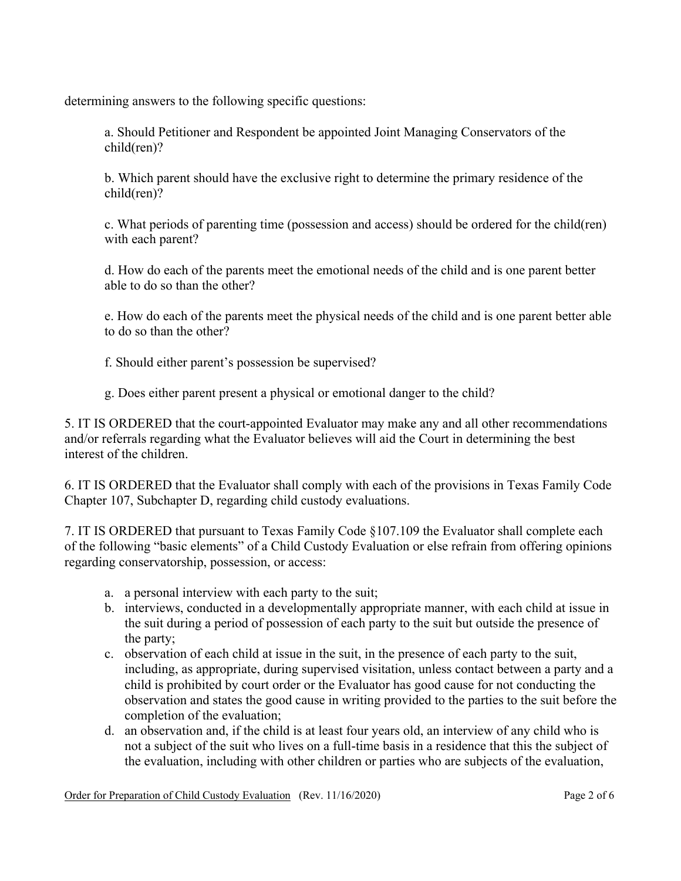determining answers to the following specific questions:

a. Should Petitioner and Respondent be appointed Joint Managing Conservators of the child(ren)?

b. Which parent should have the exclusive right to determine the primary residence of the child(ren)?

c. What periods of parenting time (possession and access) should be ordered for the child(ren) with each parent?

d. How do each of the parents meet the emotional needs of the child and is one parent better able to do so than the other?

e. How do each of the parents meet the physical needs of the child and is one parent better able to do so than the other?

f. Should either parent's possession be supervised?

g. Does either parent present a physical or emotional danger to the child?

5. IT IS ORDERED that the court-appointed Evaluator may make any and all other recommendations and/or referrals regarding what the Evaluator believes will aid the Court in determining the best interest of the children.

6. IT IS ORDERED that the Evaluator shall comply with each of the provisions in Texas Family Code Chapter 107, Subchapter D, regarding child custody evaluations.

7. IT IS ORDERED that pursuant to Texas Family Code §107.109 the Evaluator shall complete each of the following "basic elements" of a Child Custody Evaluation or else refrain from offering opinions regarding conservatorship, possession, or access:

- a. a personal interview with each party to the suit;
- b. interviews, conducted in a developmentally appropriate manner, with each child at issue in the suit during a period of possession of each party to the suit but outside the presence of the party;
- c. observation of each child at issue in the suit, in the presence of each party to the suit, including, as appropriate, during supervised visitation, unless contact between a party and a child is prohibited by court order or the Evaluator has good cause for not conducting the observation and states the good cause in writing provided to the parties to the suit before the completion of the evaluation;
- d. an observation and, if the child is at least four years old, an interview of any child who is not a subject of the suit who lives on a full-time basis in a residence that this the subject of the evaluation, including with other children or parties who are subjects of the evaluation,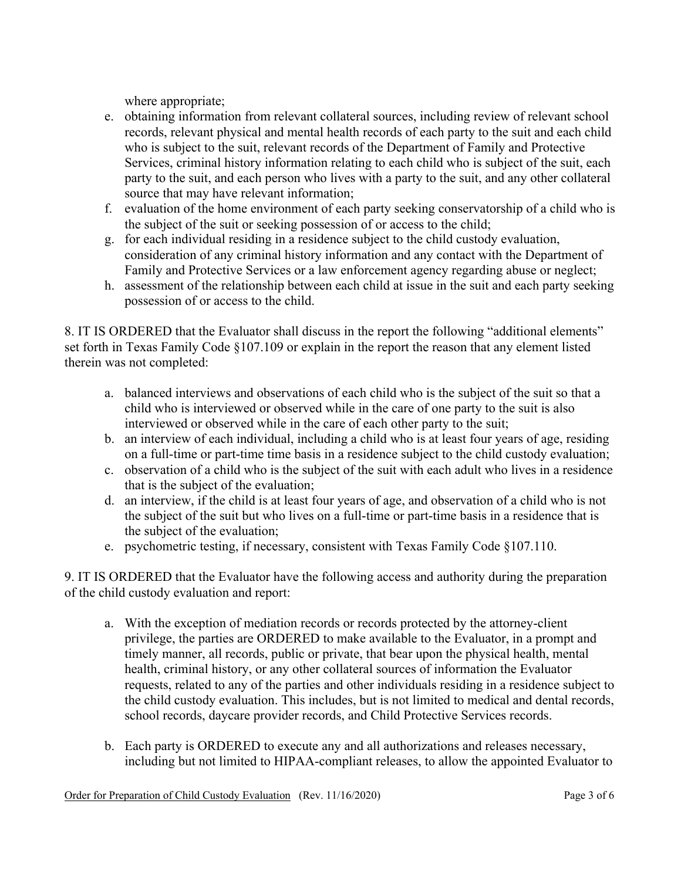where appropriate;

- e. obtaining information from relevant collateral sources, including review of relevant school records, relevant physical and mental health records of each party to the suit and each child who is subject to the suit, relevant records of the Department of Family and Protective Services, criminal history information relating to each child who is subject of the suit, each party to the suit, and each person who lives with a party to the suit, and any other collateral source that may have relevant information;
- f. evaluation of the home environment of each party seeking conservatorship of a child who is the subject of the suit or seeking possession of or access to the child;
- g. for each individual residing in a residence subject to the child custody evaluation, consideration of any criminal history information and any contact with the Department of Family and Protective Services or a law enforcement agency regarding abuse or neglect;
- h. assessment of the relationship between each child at issue in the suit and each party seeking possession of or access to the child.

8. IT IS ORDERED that the Evaluator shall discuss in the report the following "additional elements" set forth in Texas Family Code §107.109 or explain in the report the reason that any element listed therein was not completed:

- a. balanced interviews and observations of each child who is the subject of the suit so that a child who is interviewed or observed while in the care of one party to the suit is also interviewed or observed while in the care of each other party to the suit;
- b. an interview of each individual, including a child who is at least four years of age, residing on a full-time or part-time time basis in a residence subject to the child custody evaluation;
- c. observation of a child who is the subject of the suit with each adult who lives in a residence that is the subject of the evaluation;
- d. an interview, if the child is at least four years of age, and observation of a child who is not the subject of the suit but who lives on a full-time or part-time basis in a residence that is the subject of the evaluation;
- e. psychometric testing, if necessary, consistent with Texas Family Code §107.110.

9. IT IS ORDERED that the Evaluator have the following access and authority during the preparation of the child custody evaluation and report:

- a. With the exception of mediation records or records protected by the attorney-client privilege, the parties are ORDERED to make available to the Evaluator, in a prompt and timely manner, all records, public or private, that bear upon the physical health, mental health, criminal history, or any other collateral sources of information the Evaluator requests, related to any of the parties and other individuals residing in a residence subject to the child custody evaluation. This includes, but is not limited to medical and dental records, school records, daycare provider records, and Child Protective Services records.
- b. Each party is ORDERED to execute any and all authorizations and releases necessary, including but not limited to HIPAA-compliant releases, to allow the appointed Evaluator to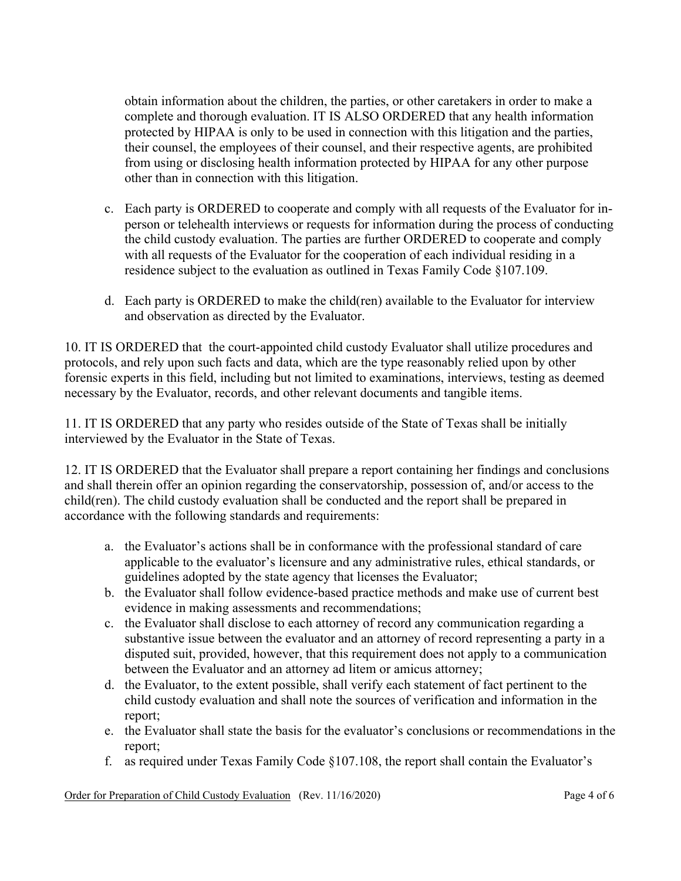obtain information about the children, the parties, or other caretakers in order to make a complete and thorough evaluation. IT IS ALSO ORDERED that any health information protected by HIPAA is only to be used in connection with this litigation and the parties, their counsel, the employees of their counsel, and their respective agents, are prohibited from using or disclosing health information protected by HIPAA for any other purpose other than in connection with this litigation.

- c. Each party is ORDERED to cooperate and comply with all requests of the Evaluator for inperson or telehealth interviews or requests for information during the process of conducting the child custody evaluation. The parties are further ORDERED to cooperate and comply with all requests of the Evaluator for the cooperation of each individual residing in a residence subject to the evaluation as outlined in Texas Family Code §107.109.
- d. Each party is ORDERED to make the child(ren) available to the Evaluator for interview and observation as directed by the Evaluator.

10. IT IS ORDERED that the court-appointed child custody Evaluator shall utilize procedures and protocols, and rely upon such facts and data, which are the type reasonably relied upon by other forensic experts in this field, including but not limited to examinations, interviews, testing as deemed necessary by the Evaluator, records, and other relevant documents and tangible items.

11. IT IS ORDERED that any party who resides outside of the State of Texas shall be initially interviewed by the Evaluator in the State of Texas.

12. IT IS ORDERED that the Evaluator shall prepare a report containing her findings and conclusions and shall therein offer an opinion regarding the conservatorship, possession of, and/or access to the child(ren). The child custody evaluation shall be conducted and the report shall be prepared in accordance with the following standards and requirements:

- a. the Evaluator's actions shall be in conformance with the professional standard of care applicable to the evaluator's licensure and any administrative rules, ethical standards, or guidelines adopted by the state agency that licenses the Evaluator;
- b. the Evaluator shall follow evidence-based practice methods and make use of current best evidence in making assessments and recommendations;
- c. the Evaluator shall disclose to each attorney of record any communication regarding a substantive issue between the evaluator and an attorney of record representing a party in a disputed suit, provided, however, that this requirement does not apply to a communication between the Evaluator and an attorney ad litem or amicus attorney;
- d. the Evaluator, to the extent possible, shall verify each statement of fact pertinent to the child custody evaluation and shall note the sources of verification and information in the report;
- e. the Evaluator shall state the basis for the evaluator's conclusions or recommendations in the report;
- f. as required under Texas Family Code §107.108, the report shall contain the Evaluator's

Order for Preparation of Child Custody Evaluation (Rev. 11/16/2020) Page 4 of 6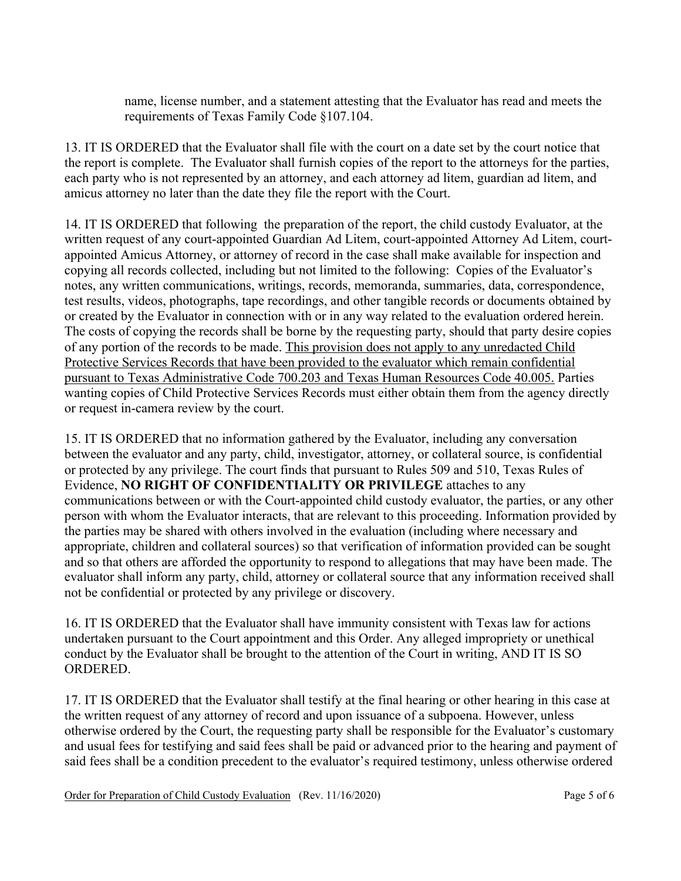name, license number, and a statement attesting that the Evaluator has read and meets the requirements of Texas Family Code §107.104.

13. IT IS ORDERED that the Evaluator shall file with the court on a date set by the court notice that the report is complete. The Evaluator shall furnish copies of the report to the attorneys for the parties, each party who is not represented by an attorney, and each attorney ad litem, guardian ad litem, and amicus attorney no later than the date they file the report with the Court.

14. IT IS ORDERED that following the preparation of the report, the child custody Evaluator, at the written request of any court-appointed Guardian Ad Litem, court-appointed Attorney Ad Litem, courtappointed Amicus Attorney, or attorney of record in the case shall make available for inspection and copying all records collected, including but not limited to the following: Copies of the Evaluator's notes, any written communications, writings, records, memoranda, summaries, data, correspondence, test results, videos, photographs, tape recordings, and other tangible records or documents obtained by or created by the Evaluator in connection with or in any way related to the evaluation ordered herein. The costs of copying the records shall be borne by the requesting party, should that party desire copies of any portion of the records to be made. This provision does not apply to any unredacted Child Protective Services Records that have been provided to the evaluator which remain confidential pursuant to Texas Administrative Code 700.203 and Texas Human Resources Code 40.005. Parties wanting copies of Child Protective Services Records must either obtain them from the agency directly or request in-camera review by the court.

15. IT IS ORDERED that no information gathered by the Evaluator, including any conversation between the evaluator and any party, child, investigator, attorney, or collateral source, is confidential or protected by any privilege. The court finds that pursuant to Rules 509 and 510, Texas Rules of Evidence, **NO RIGHT OF CONFIDENTIALITY OR PRIVILEGE** attaches to any communications between or with the Court-appointed child custody evaluator, the parties, or any other person with whom the Evaluator interacts, that are relevant to this proceeding. Information provided by the parties may be shared with others involved in the evaluation (including where necessary and appropriate, children and collateral sources) so that verification of information provided can be sought and so that others are afforded the opportunity to respond to allegations that may have been made. The evaluator shall inform any party, child, attorney or collateral source that any information received shall not be confidential or protected by any privilege or discovery.

16. IT IS ORDERED that the Evaluator shall have immunity consistent with Texas law for actions undertaken pursuant to the Court appointment and this Order. Any alleged impropriety or unethical conduct by the Evaluator shall be brought to the attention of the Court in writing, AND IT IS SO ORDERED.

17. IT IS ORDERED that the Evaluator shall testify at the final hearing or other hearing in this case at the written request of any attorney of record and upon issuance of a subpoena. However, unless otherwise ordered by the Court, the requesting party shall be responsible for the Evaluator's customary and usual fees for testifying and said fees shall be paid or advanced prior to the hearing and payment of said fees shall be a condition precedent to the evaluator's required testimony, unless otherwise ordered

Order for Preparation of Child Custody Evaluation (Rev. 11/16/2020) Page 5 of 6